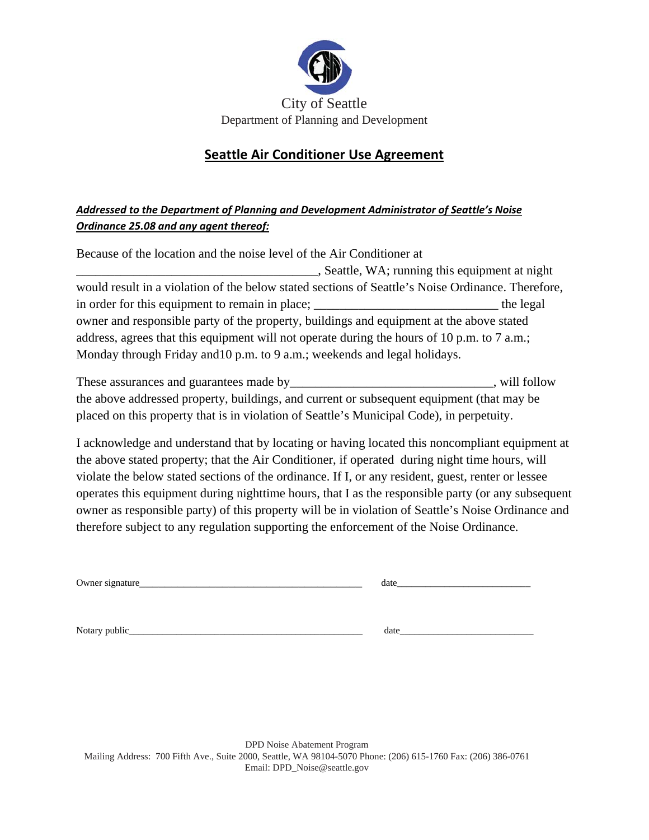

## **Seattle Air Conditioner Use Agreement**

## *Addressed to the Department of Planning and Development Administrator of Seattle's Noise Ordinance 25.08 and any agent thereof:*

| Because of the location and the noise level of the Air Conditioner at                             |           |  |  |  |
|---------------------------------------------------------------------------------------------------|-----------|--|--|--|
| Seattle, WA; running this equipment at night                                                      |           |  |  |  |
| would result in a violation of the below stated sections of Seattle's Noise Ordinance. Therefore, |           |  |  |  |
| in order for this equipment to remain in place; ________________________________                  | the legal |  |  |  |
| owner and responsible party of the property, buildings and equipment at the above stated          |           |  |  |  |
| address, agrees that this equipment will not operate during the hours of 10 p.m. to 7 a.m.;       |           |  |  |  |
| Monday through Friday and 10 p.m. to 9 a.m.; weekends and legal holidays.                         |           |  |  |  |
|                                                                                                   |           |  |  |  |

| These assurances and guarantees made by                                                   | , will follow |
|-------------------------------------------------------------------------------------------|---------------|
| the above addressed property, buildings, and current or subsequent equipment (that may be |               |
| placed on this property that is in violation of Seattle's Municipal Code), in perpetuity. |               |

I acknowledge and understand that by locating or having located this noncompliant equipment at the above stated property; that the Air Conditioner, if operated during night time hours, will violate the below stated sections of the ordinance. If I, or any resident, guest, renter or lessee operates this equipment during nighttime hours, that I as the responsible party (or any subsequent owner as responsible party) of this property will be in violation of Seattle's Noise Ordinance and therefore subject to any regulation supporting the enforcement of the Noise Ordinance.

| Owner signature_ | date |
|------------------|------|
|                  |      |
| Notary public_   | date |

DPD Noise Abatement Program Mailing Address: 700 Fifth Ave., Suite 2000, Seattle, WA 98104-5070 Phone: (206) 615-1760 Fax: (206) 386-0761 Email: DPD\_Noise@seattle.gov